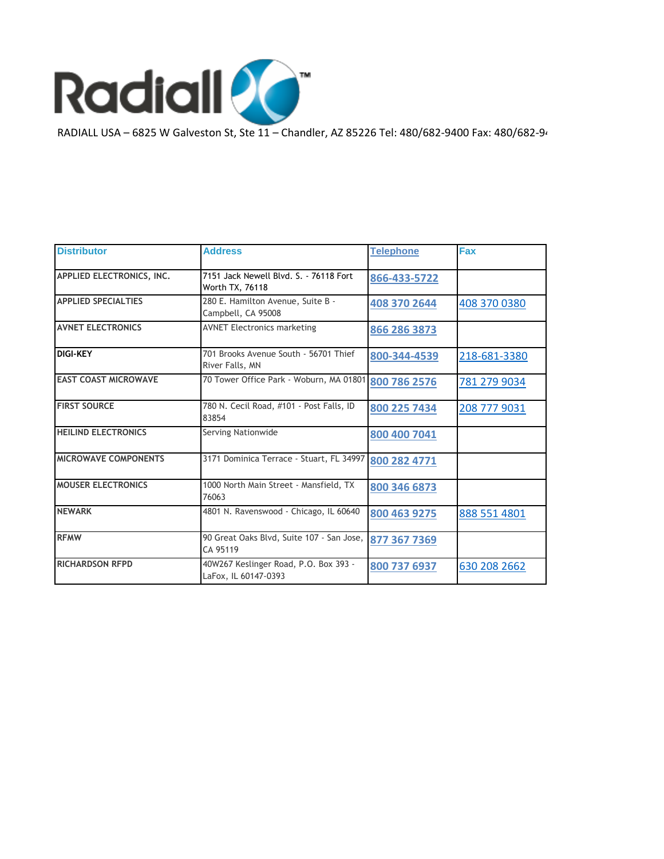

RADIALL USA – 6825 W Galveston St, Ste 11 – Chandler, AZ 85226 Tel: 480/682-9400 Fax: 480/682-9401

| <b>Distributor</b>          | <b>Address</b>                                                | <b>Telephone</b> | Fax          |
|-----------------------------|---------------------------------------------------------------|------------------|--------------|
| APPLIED ELECTRONICS, INC.   | 7151 Jack Newell Blvd. S. - 76118 Fort<br>Worth TX, 76118     | 866-433-5722     |              |
| <b>APPLIED SPECIALTIES</b>  | 280 E. Hamilton Avenue, Suite B -<br>Campbell, CA 95008       | 408 370 2644     | 408 370 0380 |
| <b>AVNET ELECTRONICS</b>    | <b>AVNET Electronics marketing</b>                            | 866 286 3873     |              |
| <b>DIGI-KEY</b>             | 701 Brooks Avenue South - 56701 Thief<br>River Falls, MN      | 800-344-4539     | 218-681-3380 |
| <b>EAST COAST MICROWAVE</b> | 70 Tower Office Park - Woburn, MA 01801                       | 800 786 2576     | 781 279 9034 |
| <b>FIRST SOURCE</b>         | 780 N. Cecil Road, #101 - Post Falls, ID<br>83854             | 800 225 7434     | 208 777 9031 |
| <b>HEILIND ELECTRONICS</b>  | Serving Nationwide                                            | 800 400 7041     |              |
| <b>MICROWAVE COMPONENTS</b> | 3171 Dominica Terrace - Stuart, FL 34997                      | 800 282 4771     |              |
| <b>MOUSER ELECTRONICS</b>   | 1000 North Main Street - Mansfield, TX<br>76063               | 800 346 6873     |              |
| <b>NEWARK</b>               | 4801 N. Ravenswood - Chicago, IL 60640                        | 800 463 9275     | 888 551 4801 |
| <b>RFMW</b>                 | 90 Great Oaks Blvd, Suite 107 - San Jose,<br>CA 95119         | 877 367 7369     |              |
| <b>RICHARDSON RFPD</b>      | 40W267 Keslinger Road, P.O. Box 393 -<br>LaFox, IL 60147-0393 | 800 737 6937     | 630 208 2662 |